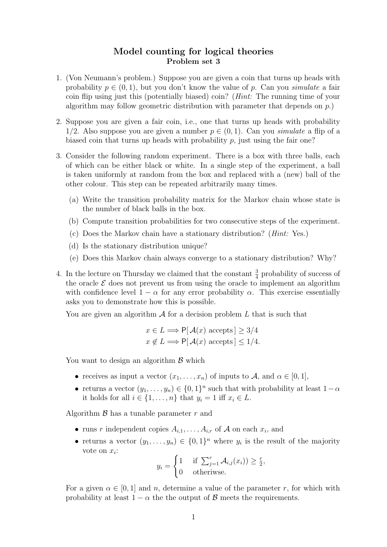## Model counting for logical theories Problem set 3

- 1. (Von Neumann's problem.) Suppose you are given a coin that turns up heads with probability  $p \in (0, 1)$ , but you don't know the value of p. Can you simulate a fair coin flip using just this (potentially biased) coin? (Hint: The running time of your algorithm may follow geometric distribution with parameter that depends on p.)
- 2. Suppose you are given a fair coin, i.e., one that turns up heads with probability 1/2. Also suppose you are given a number  $p \in (0,1)$ . Can you *simulate* a flip of a biased coin that turns up heads with probability  $p$ , just using the fair one?
- 3. Consider the following random experiment. There is a box with three balls, each of which can be either black or white. In a single step of the experiment, a ball is taken uniformly at random from the box and replaced with a (new) ball of the other colour. This step can be repeated arbitrarily many times.
	- (a) Write the transition probability matrix for the Markov chain whose state is the number of black balls in the box.
	- (b) Compute transition probabilities for two consecutive steps of the experiment.
	- (c) Does the Markov chain have a stationary distribution? (Hint: Yes.)
	- (d) Is the stationary distribution unique?
	- (e) Does this Markov chain always converge to a stationary distribution? Why?
- 4. In the lecture on Thursday we claimed that the constant  $\frac{3}{4}$  probability of success of the oracle  $\mathcal E$  does not prevent us from using the oracle to implement an algorithm with confidence level  $1 - \alpha$  for any error probability  $\alpha$ . This exercise essentially asks you to demonstrate how this is possible.

You are given an algorithm  $A$  for a decision problem  $L$  that is such that

$$
x \in L \Longrightarrow \mathsf{P}[\mathcal{A}(x) \text{ accepts}] \geq 3/4
$$
  
 $x \notin L \Longrightarrow \mathsf{P}[\mathcal{A}(x) \text{ accepts}] \leq 1/4.$ 

You want to design an algorithm  $\beta$  which

- receives as input a vector  $(x_1, \ldots, x_n)$  of inputs to A, and  $\alpha \in [0,1],$
- returns a vector  $(y_1, \ldots, y_n) \in \{0,1\}^n$  such that with probability at least  $1-\alpha$ it holds for all  $i \in \{1, \ldots, n\}$  that  $y_i = 1$  iff  $x_i \in L$ .

Algorithm  $\beta$  has a tunable parameter r and

- runs r independent copies  $A_{i,1}, \ldots, A_{i,r}$  of A on each  $x_i$ , and
- returns a vector  $(y_1, \ldots, y_n) \in \{0,1\}^n$  where  $y_i$  is the result of the majority vote on  $x_i$ :

$$
y_i = \begin{cases} 1 & \text{if } \sum_{j=1}^r \mathcal{A}_{i,j}(x_i) \geq \frac{r}{2}, \\ 0 & \text{otherwise.} \end{cases}
$$

For a given  $\alpha \in [0,1]$  and n, determine a value of the parameter r, for which with probability at least  $1 - \alpha$  the the output of B meets the requirements.